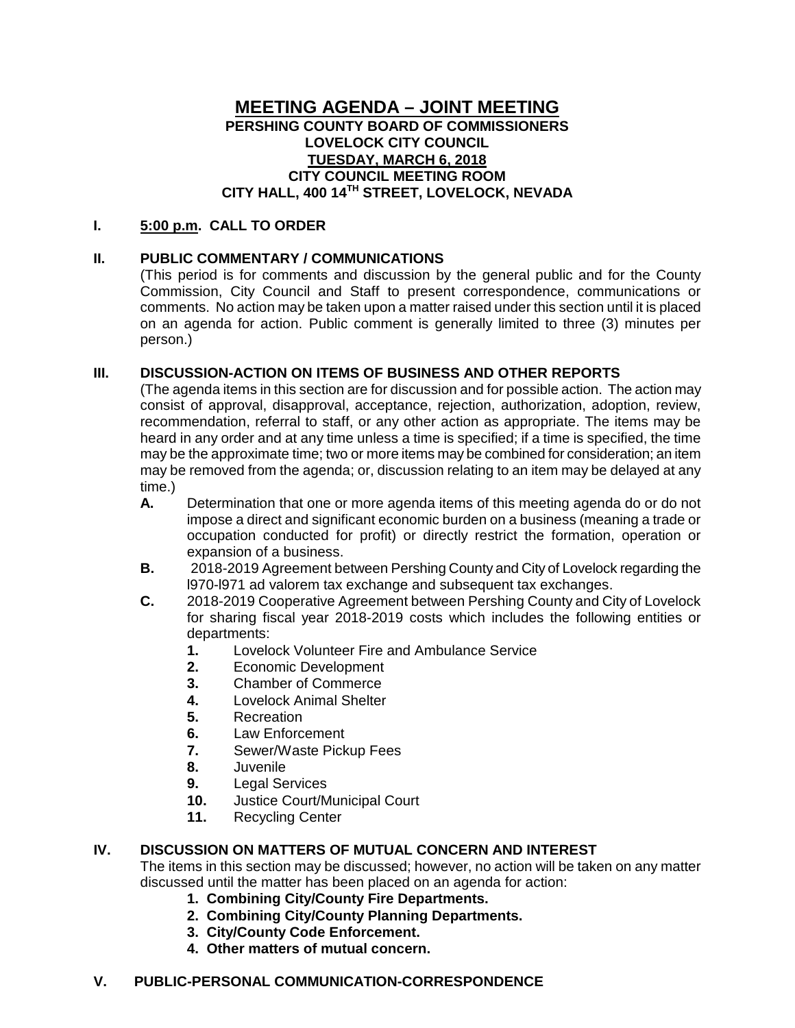# **MEETING AGENDA – JOINT MEETING PERSHING COUNTY BOARD OF COMMISSIONERS LOVELOCK CITY COUNCIL TUESDAY, MARCH 6, 2018 CITY COUNCIL MEETING ROOM CITY HALL, 400 14TH STREET, LOVELOCK, NEVADA**

## **I. 5:00 p.m. CALL TO ORDER**

## **II. PUBLIC COMMENTARY / COMMUNICATIONS**

(This period is for comments and discussion by the general public and for the County Commission, City Council and Staff to present correspondence, communications or comments. No action may be taken upon a matter raised under this section until it is placed on an agenda for action. Public comment is generally limited to three (3) minutes per person.)

## **III. DISCUSSION-ACTION ON ITEMS OF BUSINESS AND OTHER REPORTS**

(The agenda items in this section are for discussion and for possible action. The action may consist of approval, disapproval, acceptance, rejection, authorization, adoption, review, recommendation, referral to staff, or any other action as appropriate. The items may be heard in any order and at any time unless a time is specified; if a time is specified, the time may be the approximate time; two or more items may be combined for consideration; an item may be removed from the agenda; or, discussion relating to an item may be delayed at any time.)

- **A.** Determination that one or more agenda items of this meeting agenda do or do not impose a direct and significant economic burden on a business (meaning a trade or occupation conducted for profit) or directly restrict the formation, operation or expansion of a business.
- **B.** 2018-2019 Agreement between Pershing County and City of Lovelock regarding the l970-l971 ad valorem tax exchange and subsequent tax exchanges.
- **C.** 2018-2019 Cooperative Agreement between Pershing County and City of Lovelock for sharing fiscal year 2018-2019 costs which includes the following entities or departments:
	- **1.** Lovelock Volunteer Fire and Ambulance Service<br>**2.** Economic Development
	- **2.** Economic Development
	- **3.** Chamber of Commerce
	- **4.** Lovelock Animal Shelter
	- **5.** Recreation
	- **6.** Law Enforcement<br>**7.** Sewer/Waste Pick
	- **7.** Sewer/Waste Pickup Fees
	- **8.** Juvenile
	- **9.** Legal Services<br>**10.** Justice Court/N
	- 10. Justice Court/Municipal Court<br>11. Recycling Center
	- **11.** Recycling Center

## **IV. DISCUSSION ON MATTERS OF MUTUAL CONCERN AND INTEREST**

The items in this section may be discussed; however, no action will be taken on any matter discussed until the matter has been placed on an agenda for action:

- **1. Combining City/County Fire Departments.**
- **2. Combining City/County Planning Departments.**
- **3. City/County Code Enforcement.**
- **4. Other matters of mutual concern.**

#### **V. PUBLIC-PERSONAL COMMUNICATION-CORRESPONDENCE**